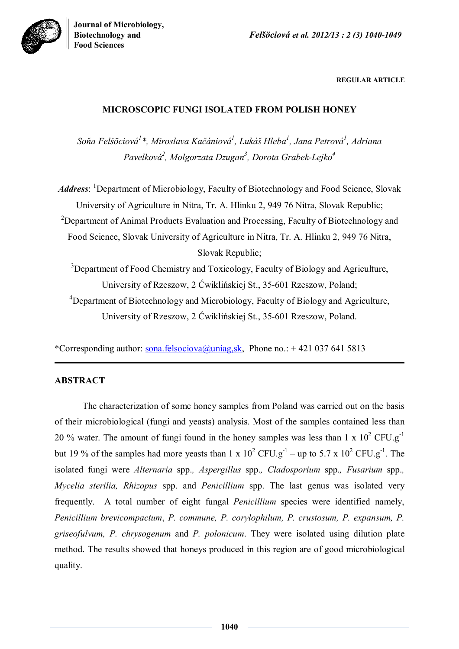

**REGULAR ARTICLE**

# **MICROSCOPIC FUNGI ISOLATED FROM POLISH HONEY**

*Soňa Felšöciová 1 \*, Miroslava Kačániová 1 , Lukáš Hleba<sup>1</sup> , Jana Petrová<sup>1</sup> , Adriana Pavelková<sup>2</sup> , Molgorzata Dzugan<sup>3</sup> , Dorota Grabek-Lejko<sup>4</sup>*

*Address*: <sup>1</sup>Department of Microbiology, Faculty of Biotechnology and Food Science, Slovak University of Agriculture in Nitra, Tr. A. Hlinku 2, 949 76 Nitra, Slovak Republic; <sup>2</sup>Department of Animal Products Evaluation and Processing, Faculty of Biotechnology and Food Science, Slovak University of Agriculture in Nitra, Tr. A. Hlinku 2, 949 76 Nitra, Slovak Republic;

<sup>3</sup>Department of Food Chemistry and Toxicology, Faculty of Biology and Agriculture, University of Rzeszow, 2 Ćwiklińskiej St., 35-601 Rzeszow, Poland; <sup>4</sup>Department of Biotechnology and Microbiology, Faculty of Biology and Agriculture, University of Rzeszow, 2 Ćwiklińskiej St., 35-601 Rzeszow, Poland.

\*Corresponding author:  $\frac{\text{sona.felsociova}(a) \text{uniag\_sk}}{\text{Aniag\_sk}}$ , Phone no.: +421 037 641 5813

# **ABSTRACT**

The characterization of some honey samples from Poland was carried out on the basis of their microbiological (fungi and yeasts) analysis. Most of the samples contained less than 20 % water. The amount of fungi found in the honey samples was less than  $1 \times 10^2$  CFU.g<sup>-1</sup> but 19 % of the samples had more yeasts than 1 x  $10^2$  CFU.g<sup>-1</sup> – up to 5.7 x  $10^2$  CFU.g<sup>-1</sup>. The isolated fungi were *Alternaria* spp.*, Aspergillus* spp.*, Cladosporium* spp.*, Fusarium* spp.*, Mycelia sterilia, Rhizopus* spp. and *Penicillium* spp. The last genus was isolated very frequently. A total number of eight fungal *Penicillium* species were identified namely, *Penicillium brevicompactum*, *P. commune, P. corylophilum, P. crustosum, P. expansum, P. griseofulvum, P. chrysogenum* and *P. polonicum*. They were isolated using dilution plate method. The results showed that honeys produced in this region are of good microbiological quality.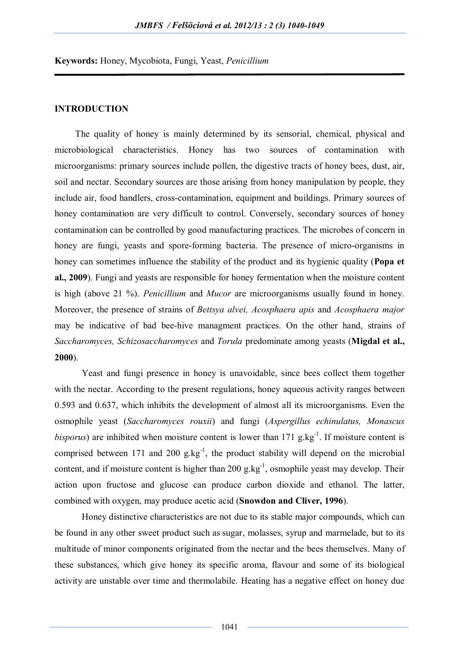**Keywords:** Honey, Mycobiota, Fungi, Yeast, *Penicillium*

### **INTRODUCTION**

 The quality of honey is mainly determined by its sensorial, chemical, physical and microbiological characteristics. Honey has two sources of contamination with microorganisms: primary sources include pollen, the digestive tracts of honey bees, dust, air, soil and nectar. Secondary sources are those arising from honey manipulation by people, they include air, food handlers, cross-contamination, equipment and buildings. Primary sources of honey contamination are very difficult to control. Conversely, secondary sources of honey contamination can be controlled by good manufacturing practices. The microbes of concern in honey are fungi, yeasts and spore-forming bacteria. The presence of micro-organisms in honey can sometimes influence the stability of the product and its hygienic quality (**Popa et al., 2009**). Fungi and yeasts are responsible for honey fermentation when the moisture content is high (above 21 %). *Penicillium* and *Mucor* are microorganisms usually found in honey. Moreover, the presence of strains of *Bettsya alvei, Acosphaera apis* and *Acosphaera major* may be indicative of bad bee-hive managment practices. On the other hand, strains of *Saccharomyces, Schizosaccharomyces* and *Torula* predominate among yeasts (**Migdal et al., 2000**).

Yeast and fungi presence in honey is unavoidable, since bees collect them together with the nectar. According to the present regulations, honey aqueous activity ranges between 0.593 and 0.637, which inhibits the development of almost all its microorganisms. Even the osmophile yeast (*Saccharomyces rouxii*) and fungi (*Aspergillus echinulatus, Monascus bisporus*) are inhibited when moisture content is lower than  $171$  g.kg<sup>-1</sup>. If moisture content is comprised between 171 and 200  $g_1 kg^{-1}$ , the product stability will depend on the microbial content, and if moisture content is higher than  $200 \text{ g} \cdot \text{kg}^{-1}$ , osmophile yeast may develop. Their action upon fructose and glucose can produce carbon dioxide and ethanol. The latter, combined with oxygen, may produce acetic acid (**Snowdon and Cliver, 1996**).

Honey distinctive characteristics are not due to its stable major compounds, which can be found in any other sweet product such as sugar, molasses, syrup and marmelade, but to its multitude of minor components originated from the nectar and the bees themselves. Many of these substances, which give honey its specific aroma, flavour and some of its biological activity are unstable over time and thermolabile. Heating has a negative effect on honey due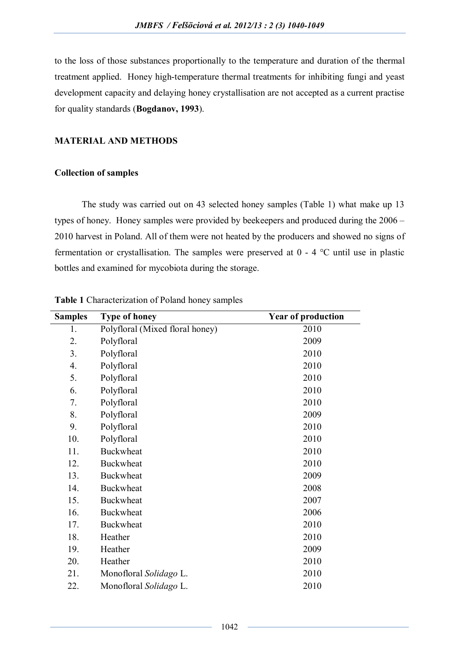to the loss of those substances proportionally to the temperature and duration of the thermal treatment applied. Honey high-temperature thermal treatments for inhibiting fungi and yeast development capacity and delaying honey crystallisation are not accepted as a current practise for quality standards (**Bogdanov, 1993**).

## **MATERIAL AND METHODS**

## **Collection of samples**

The study was carried out on 43 selected honey samples (Table 1) what make up 13 types of honey. Honey samples were provided by beekeepers and produced during the 2006 – 2010 harvest in Poland. All of them were not heated by the producers and showed no signs of fermentation or crystallisation. The samples were preserved at 0 - 4 °C until use in plastic bottles and examined for mycobiota during the storage.

| <b>Samples</b> | <b>Type of honey</b>            | <b>Year of production</b> |  |  |  |  |  |
|----------------|---------------------------------|---------------------------|--|--|--|--|--|
| 1.             | Polyfloral (Mixed floral honey) | 2010                      |  |  |  |  |  |
| 2.             | Polyfloral                      | 2009                      |  |  |  |  |  |
| 3.             | Polyfloral                      | 2010                      |  |  |  |  |  |
| 4.             | Polyfloral                      | 2010                      |  |  |  |  |  |
| 5.             | Polyfloral                      | 2010                      |  |  |  |  |  |
| 6.             | Polyfloral                      | 2010                      |  |  |  |  |  |
| 7.             | Polyfloral                      | 2010                      |  |  |  |  |  |
| 8.             | Polyfloral                      | 2009                      |  |  |  |  |  |
| 9.             | Polyfloral                      | 2010                      |  |  |  |  |  |
| 10.            | Polyfloral                      | 2010                      |  |  |  |  |  |
| 11.            | <b>Buckwheat</b>                | 2010                      |  |  |  |  |  |
| 12.            | <b>Buckwheat</b>                | 2010                      |  |  |  |  |  |
| 13.            | <b>Buckwheat</b>                | 2009                      |  |  |  |  |  |
| 14.            | <b>Buckwheat</b>                | 2008                      |  |  |  |  |  |
| 15.            | <b>Buckwheat</b>                | 2007                      |  |  |  |  |  |
| 16.            | <b>Buckwheat</b>                | 2006                      |  |  |  |  |  |
| 17.            | <b>Buckwheat</b>                | 2010                      |  |  |  |  |  |
| 18.            | Heather                         | 2010                      |  |  |  |  |  |
| 19.            | Heather                         | 2009                      |  |  |  |  |  |
| 20.            | Heather                         | 2010                      |  |  |  |  |  |
| 21.            | Monofloral Solidago L.          | 2010                      |  |  |  |  |  |
| 22.            | Monofloral Solidago L.          | 2010                      |  |  |  |  |  |

**Table 1** Characterization of Poland honey samples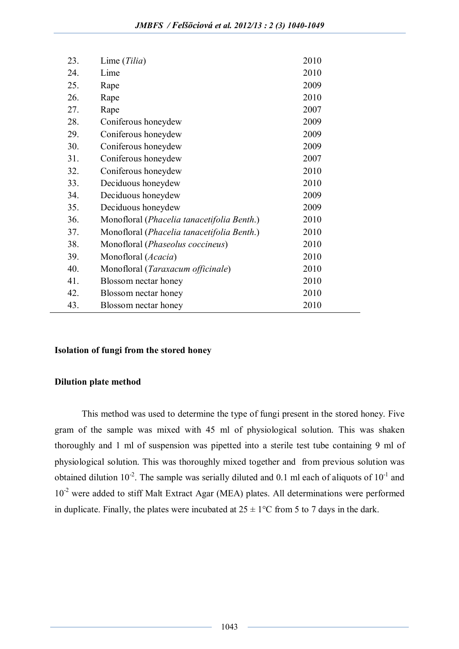| 23. | Lime (Tilia)                               | 2010 |
|-----|--------------------------------------------|------|
| 24. | Lime                                       | 2010 |
| 25. | Rape                                       | 2009 |
| 26. | Rape                                       | 2010 |
| 27. | Rape                                       | 2007 |
| 28. | Coniferous honeydew                        | 2009 |
| 29. | Coniferous honeydew                        | 2009 |
| 30. | Coniferous honeydew                        | 2009 |
| 31. | Coniferous honeydew                        | 2007 |
| 32. | Coniferous honeydew                        | 2010 |
| 33. | Deciduous honeydew                         | 2010 |
| 34. | Deciduous honeydew                         | 2009 |
| 35. | Deciduous honeydew                         | 2009 |
| 36. | Monofloral (Phacelia tanacetifolia Benth.) | 2010 |
| 37. | Monofloral (Phacelia tanacetifolia Benth.) | 2010 |
| 38. | Monofloral (Phaseolus coccineus)           | 2010 |
| 39. | Monofloral (Acacia)                        | 2010 |
| 40. | Monofloral (Taraxacum officinale)          | 2010 |
| 41. | Blossom nectar honey                       | 2010 |
| 42. | Blossom nectar honey                       | 2010 |
| 43. | Blossom nectar honey                       | 2010 |

## **Isolation of fungi from the stored honey**

## **Dilution plate method**

This method was used to determine the type of fungi present in the stored honey. Five gram of the sample was mixed with 45 ml of physiological solution. This was shaken thoroughly and 1 ml of suspension was pipetted into a sterile test tube containing 9 ml of physiological solution. This was thoroughly mixed together and from previous solution was obtained dilution  $10^{-2}$ . The sample was serially diluted and 0.1 ml each of aliquots of  $10^{-1}$  and 10<sup>-2</sup> were added to stiff Malt Extract Agar (MEA) plates. All determinations were performed in duplicate. Finally, the plates were incubated at  $25 \pm 1$ °C from 5 to 7 days in the dark.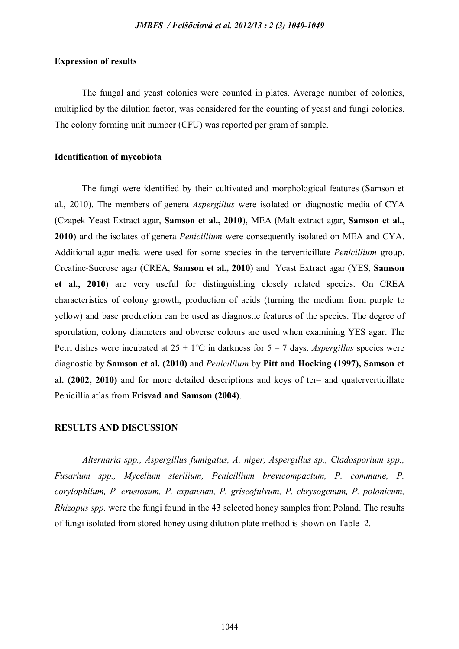### **Expression of results**

The fungal and yeast colonies were counted in plates. Average number of colonies, multiplied by the dilution factor, was considered for the counting of yeast and fungi colonies. The colony forming unit number (CFU) was reported per gram of sample.

## **Identification of mycobiota**

The fungi were identified by their cultivated and morphological features (Samson et al., 2010). The members of genera *Aspergillus* were isolated on diagnostic media of CYA (Czapek Yeast Extract agar, **Samson et al., 2010**), MEA (Malt extract agar, **Samson et al., 2010**) and the isolates of genera *Penicillium* were consequently isolated on MEA and CYA. Additional agar media were used for some species in the terverticillate *Penicillium* group. Creatine-Sucrose agar (CREA, **Samson et al., 2010**) and Yeast Extract agar (YES, **Samson et al., 2010**) are very useful for distinguishing closely related species. On CREA characteristics of colony growth, production of acids (turning the medium from purple to yellow) and base production can be used as diagnostic features of the species. The degree of sporulation, colony diameters and obverse colours are used when examining YES agar. The Petri dishes were incubated at  $25 \pm 1$ °C in darkness for  $5 - 7$  days. *Aspergillus* species were diagnostic by **Samson et al. (2010)** and *Penicillium* by **Pitt and Hocking (1997), Samson et al. (2002, 2010)** and for more detailed descriptions and keys of ter– and quaterverticillate Penicillia atlas from **Frisvad and Samson (2004)**.

### **RESULTS AND DISCUSSION**

*Alternaria spp., Aspergillus fumigatus, A. niger, Aspergillus sp., Cladosporium spp., Fusarium spp., Mycelium sterilium, Penicillium brevicompactum, P. commune, P. corylophilum, P. crustosum, P. expansum, P. griseofulvum, P. chrysogenum, P. polonicum, Rhizopus spp.* were the fungi found in the 43 selected honey samples from Poland. The results of fungi isolated from stored honey using dilution plate method is shown on Table 2.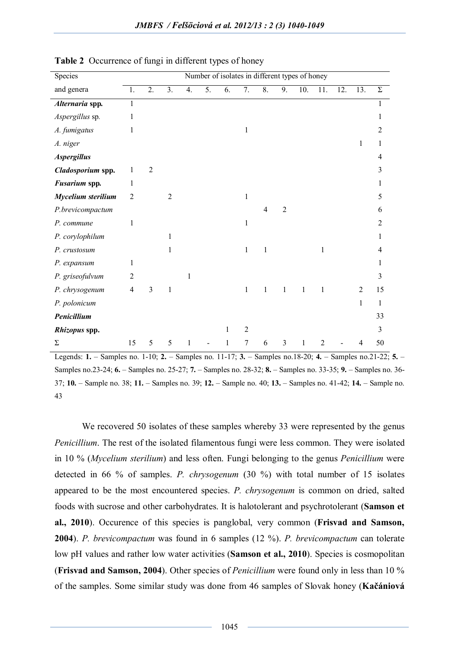| Species            | Number of isolates in different types of honey |                  |                |    |    |    |                |                |                |              |                |     |                |          |
|--------------------|------------------------------------------------|------------------|----------------|----|----|----|----------------|----------------|----------------|--------------|----------------|-----|----------------|----------|
| and genera         | 1.                                             | $\overline{2}$ . | 3.             | 4. | 5. | 6. | 7.             | 8.             | 9.             | 10.          | 11.            | 12. | 13.            | $\Sigma$ |
| Alternaria spp.    | $\overline{1}$                                 |                  |                |    |    |    |                |                |                |              |                |     |                | 1        |
| Aspergillus sp.    | 1                                              |                  |                |    |    |    |                |                |                |              |                |     |                | 1        |
| A. fumigatus       | 1                                              |                  |                |    |    |    | 1              |                |                |              |                |     |                | 2        |
| A. niger           |                                                |                  |                |    |    |    |                |                |                |              |                |     | 1              | 1        |
| <b>Aspergillus</b> |                                                |                  |                |    |    |    |                |                |                |              |                |     |                | 4        |
| Cladosporium spp.  | $\mathbf{1}$                                   | $\overline{2}$   |                |    |    |    |                |                |                |              |                |     |                | 3        |
| Fusarium spp.      | 1                                              |                  |                |    |    |    |                |                |                |              |                |     |                | 1        |
| Mycelium sterilium | $\overline{2}$                                 |                  | $\overline{2}$ |    |    |    | 1              |                |                |              |                |     |                | 5        |
| P.brevicompactum   |                                                |                  |                |    |    |    |                | $\overline{4}$ | $\overline{2}$ |              |                |     |                | 6        |
| P. commune         | 1                                              |                  |                |    |    |    | 1              |                |                |              |                |     |                | 2        |
| P. corylophilum    |                                                |                  | 1              |    |    |    |                |                |                |              |                |     |                | 1        |
| P. crustosum       |                                                |                  | $\mathbf{1}$   |    |    |    | 1              | $\mathbf{1}$   |                |              | 1              |     |                | 4        |
| P. expansum        | 1                                              |                  |                |    |    |    |                |                |                |              |                |     |                | 1        |
| P. griseofulvum    | $\overline{2}$                                 |                  |                | 1  |    |    |                |                |                |              |                |     |                | 3        |
| P. chrysogenum     | $\overline{4}$                                 | $\mathfrak{Z}$   | 1              |    |    |    | $\mathbf{1}$   | $\mathbf{1}$   | $\mathbf{1}$   | $\mathbf{1}$ | 1              |     | $\overline{2}$ | 15       |
| P. polonicum       |                                                |                  |                |    |    |    |                |                |                |              |                |     | 1              | 1        |
| Penicillium        |                                                |                  |                |    |    |    |                |                |                |              |                |     |                | 33       |
| Rhizopus spp.      |                                                |                  |                |    |    | 1  | $\overline{2}$ |                |                |              |                |     |                | 3        |
| Σ                  | 15                                             | 5                | 5              | 1  |    | 1  | $\tau$         | 6              | 3              | 1            | $\overline{c}$ |     | 4              | 50       |

**Table 2** Occurrence of fungi in different types of honey

Legends: **1.** – Samples no. 1-10; **2.** – Samples no. 11-17; **3.** – Samples no.18-20; **4.** – Samples no.21-22; **5.** – Samples no.23-24; **6.** – Samples no. 25-27; **7.** – Samples no. 28-32; **8.** – Samples no. 33-35; **9.** – Samples no. 36- 37; **10.** – Sample no. 38; **11.** – Samples no. 39; **12.** – Sample no. 40; **13.** – Samples no. 41-42; **14.** – Sample no. 43

We recovered 50 isolates of these samples whereby 33 were represented by the genus *Penicillium*. The rest of the isolated filamentous fungi were less common. They were isolated in 10 % (*Mycelium sterilium*) and less often. Fungi belonging to the genus *Penicillium* were detected in 66 % of samples. *P. chrysogenum* (30 %) with total number of 15 isolates appeared to be the most encountered species. *P. chrysogenum* is common on dried, salted foods with sucrose and other carbohydrates. It is halotolerant and psychrotolerant (**Samson et al., 2010**). Occurence of this species is panglobal, very common (**Frisvad and Samson, 2004**). *P. brevicompactum* was found in 6 samples (12 %). *P. brevicompactum* can tolerate low pH values and rather low water activities (**Samson et al., 2010**). Species is cosmopolitan (**Frisvad and Samson, 2004**). Other species of *Penicillium* were found only in less than 10 % of the samples. Some similar study was done from 46 samples of Slovak honey (**Kačániová**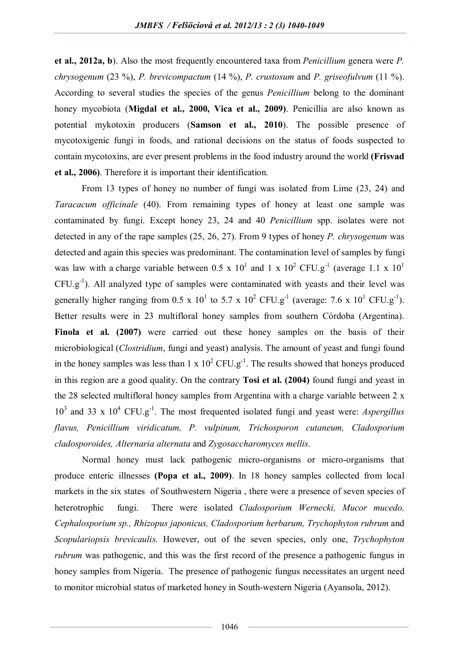**et al., 2012a, b**). Also the most frequently encountered taxa from *Penicillium* genera were *P. chrysogenum* (23 %), *P. brevicompactum* (14 %), *P. crustosum* and *P. griseofulvum* (11 %). According to several studies the species of the genus *Penicillium* belong to the dominant honey mycobiota (**Migdal et al., 2000, Vica et al., 2009)**. Penicillia are also known as potential mykotoxin producers (**Samson et al., 2010**). The possible presence of mycotoxigenic fungi in foods, and rational decisions on the status of foods suspected to contain mycotoxins, are ever present problems in the food industry around the world **(Frisvad et al., 2006)**. Therefore it is important their identification.

From 13 types of honey no number of fungi was isolated from Lime (23, 24) and *Taracacum officinale* (40). From remaining types of honey at least one sample was contaminated by fungi. Except honey 23, 24 and 40 *Penicillium* spp. isolates were not detected in any of the rape samples (25, 26, 27). From 9 types of honey *P. chrysogenum* was detected and again this species was predominant. The contamination level of samples by fungi was law with a charge variable between 0.5 x  $10^1$  and 1 x  $10^2$  CFU.g<sup>-1</sup> (average 1.1 x  $10^1$  $CFU.g<sup>-1</sup>$ ). All analyzed type of samples were contaminated with yeasts and their level was generally higher ranging from 0.5 x  $10^1$  to 5.7 x  $10^2$  CFU.g<sup>-1</sup> (average: 7.6 x  $10^1$  CFU.g<sup>-1</sup>). Better results were in 23 multifloral honey samples from southern Córdoba (Argentina). Finola et al. (2007) were carried out these honey samples on the basis of their microbiological (*Clostridium*, fungi and yeast) analysis. The amount of yeast and fungi found in the honey samples was less than 1 x  $10^2$  CFU.g<sup>-1</sup>. The results showed that honeys produced in this region are a good quality. On the contrary **Tosi et al. (2004)** found fungi and yeast in the 28 selected multifloral honey samples from Argentina with a charge variable between 2 x 10<sup>3</sup> and 33 x 10<sup>4</sup> CFU.g-1 . The most frequented isolated fungi and yeast were: *Aspergillus flavus, Penicillium viridicatum, P. vulpinum, Trichosporon cutaneum, Cladosporium cladosporoides, Alternaria alternata* and *Zygosaccharomyces mellis*.

Normal honey must lack pathogenic micro-organisms or micro-organisms that produce enteric illnesses **(Popa et al., 2009)**. In 18 honey samples collected from local markets in the six states of Southwestern Nigeria , there were a presence of seven species of heterotrophic fungi. There were isolated *Cladosporium Wernecki, Mucor mucedo, Cephalosporium sp., Rhizopus japonicus, Cladosporium herbarum, Trychophyton rubrum* and *Scopulariopsis brevicaulis.* However, out of the seven species, only one, *Trychophyton rubrum* was pathogenic, and this was the first record of the presence a pathogenic fungus in honey samples from Nigeria. The presence of pathogenic fungus necessitates an urgent need to monitor microbial status of marketed honey in South-western Nigeria (Ayansola, 2012).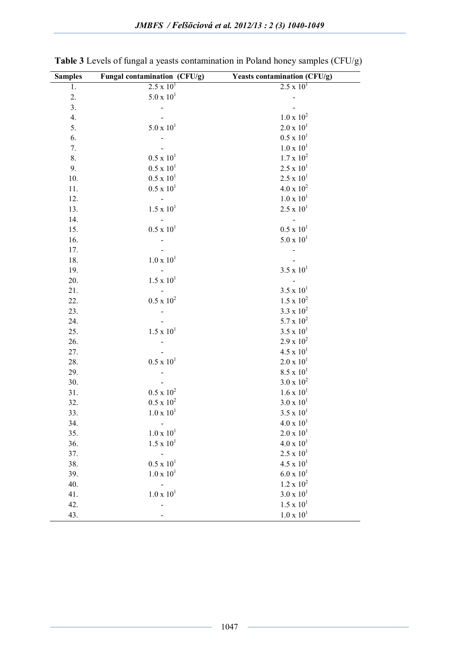| <b>Samples</b> | Fungal contamination (CFU/g) | <b>Yeasts contamination (CFU/g)</b> |
|----------------|------------------------------|-------------------------------------|
| 1.             | $2.5 \times 10^{1}$          | $2.5 \times 10^{1}$                 |
| 2.             | $5.0 \times 10^{1}$          |                                     |
| 3.             |                              |                                     |
| 4.             |                              | $1.0 \times 10^{2}$                 |
| 5.             | $5.0 \times 10^{1}$          | $2.0 \times 10^{1}$                 |
| 6.             | $\frac{1}{2}$                | $0.5 \times 10^{1}$                 |
| 7.             |                              | $1.0 \times 10^{1}$                 |
| 8.             | $0.5 \times 10^{1}$          | $1.7 \ge 10^2$                      |
| 9.             | $0.5 \times 10^{1}$          | $2.5 \times 10^{1}$                 |
| 10.            | $0.5 \times 10^{1}$          | $2.5 \ge 10^1$                      |
| 11.            | $0.5 \times 10^{1}$          | $4.0 \times 10^{2}$                 |
| 12.            | $\mathcal{L}^{\pm}$          | $1.0 \times 10^{1}$                 |
| 13.            | $1.5 \times 10^{1}$          | $2.5 \times 10^{1}$                 |
| 14.            |                              |                                     |
| 15.            | $0.5 \times 10^{1}$          | $0.5 \ge 10^1$                      |
| 16.            |                              | $5.0 \times 10^{1}$                 |
| 17.            |                              |                                     |
| 18.            | $1.0 \times 10^{1}$          |                                     |
| 19.            |                              | $3.5 \times 10^{1}$                 |
| 20.            | $1.5 \times 10^{1}$          |                                     |
| 21.            |                              | $3.5 \times 10^{1}$                 |
| 22.            | $0.5 \times 10^{2}$          | $1.5\ {\rm x}\ 10^2$                |
| 23.            |                              | $3.3 \times 10^{2}$                 |
| 24.            |                              | 5.7 x $10^2$                        |
| 25.            | $1.5 \times 10^{1}$          | $3.5 \times 10^{1}$                 |
| 26.            |                              | $2.9 \times 10^{2}$                 |
| 27.            |                              | $4.5 \times 10^{1}$                 |
| 28.            | $0.5 \times 10^{1}$          | $2.0 \ge 10^1$                      |
| 29.            |                              | $8.5 \times 10^{1}$                 |
| 30.            |                              | $3.0 \times 10^{2}$                 |
| 31.            | $0.5 \times 10^{2}$          | $1.6 \times 10^{1}$                 |
| 32.            | $0.5 \times 10^{2}$          | $3.0 \ge 10^1$                      |
| 33.            | $1.0 \times 10^{1}$          | $3.5 \times 10^{1}$                 |
| 34.            |                              | $4.0 \times 10^{1}$                 |
| 35.            | $1.0 \times 10^{1}$          | $2.0 \times 10^{1}$                 |
| 36.            | $1.5 \times 10^{1}$          | $4.0 \times 10^{1}$                 |
| 37.            | $\blacksquare$               | $2.5 \times 10^{1}$                 |
| 38.            | $0.5 \times 10^{1}$          | $4.5 \times 10^{1}$                 |
| 39.            | $1.0 \times 10^{1}$          | $6.0 \times 10^{1}$                 |
| 40.            |                              | $1.2 \times 10^{2}$                 |
| 41.            | $1.0 \times 10^{1}$          | $3.0 \times 10^{1}$                 |
| 42.            | $\overline{a}$               | $1.5 \times 10^{1}$                 |
| 43.            |                              | $1.0 \times 10^{1}$                 |

**Table 3** Levels of fungal a yeasts contamination in Poland honey samples (CFU/g)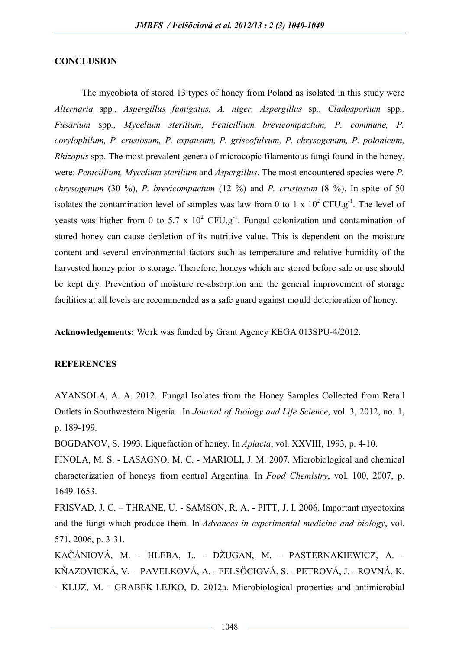#### **CONCLUSION**

The mycobiota of stored 13 types of honey from Poland as isolated in this study were *Alternaria* spp*., Aspergillus fumigatus, A. niger, Aspergillus* sp*., Cladosporium* spp*., Fusarium* spp*., Mycelium sterilium, Penicillium brevicompactum, P. commune, P. corylophilum, P. crustosum, P. expansum, P. griseofulvum, P. chrysogenum, P. polonicum, Rhizopus* spp. The most prevalent genera of microcopic filamentous fungi found in the honey, were: *Penicillium, Mycelium sterilium* and *Aspergillus*. The most encountered species were *P. chrysogenum* (30 %), *P. brevicompactum* (12 %) and *P. crustosum* (8 %). In spite of 50 isolates the contamination level of samples was law from 0 to 1 x  $10^2$  CFU.g<sup>-1</sup>. The level of yeasts was higher from 0 to 5.7 x  $10^2$  CFU.g<sup>-1</sup>. Fungal colonization and contamination of stored honey can cause depletion of its nutritive value. This is dependent on the moisture content and several environmental factors such as temperature and relative humidity of the harvested honey prior to storage. Therefore, honeys which are stored before sale or use should be kept dry. Prevention of moisture re-absorption and the general improvement of storage facilities at all levels are recommended as a safe guard against mould deterioration of honey.

**Acknowledgements:** Work was funded by Grant Agency KEGA 013SPU-4/2012.

### **REFERENCES**

AYANSOLA, A. A. 2012. Fungal Isolates from the Honey Samples Collected from Retail Outlets in Southwestern Nigeria. In *Journal of Biology and Life Science*, vol. 3, 2012, no. 1, p. 189-199.

BOGDANOV, S. 1993. Liquefaction of honey. In *Apiacta*, vol. XXVIII, 1993, p. 4-10.

FINOLA, M. S. - LASAGNO, M. C. - MARIOLI, J. M. 2007. Microbiological and chemical characterization of honeys from central Argentina. In *Food Chemistry*, vol. 100, 2007, p. 1649-1653.

FRISVAD, J. C. – THRANE, U. - SAMSON, R. A. - PITT, J. I. 2006. Important mycotoxins and the fungi which produce them. In *Advances in experimental medicine and biology*, vol. 571, 2006, p. 3-31.

KAČÁNIOVÁ, M. - HLEBA, L. - DŽUGAN, M. - PASTERNAKIEWICZ, A. - KŇAZOVICKÁ, V. - PAVELKOVÁ, A. - FELSÖCIOVÁ, S. - PETROVÁ, J. - ROVNÁ, K. - KLUZ, M. - GRABEK-LEJKO, D. 2012a. Microbiological properties and antimicrobial